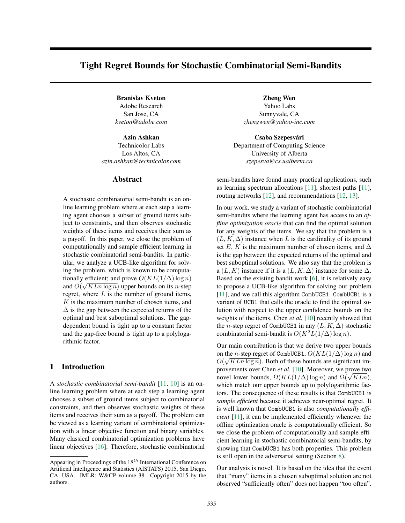# Tight Regret Bounds for Stochastic Combinatorial Semi-Bandits

Branislav Kveton Zheng Wen Adobe Research San Jose, CA *kveton@adobe.com*

Technicolor Labs Los Altos, CA *azin.ashkan@technicolor.com*

#### Abstract

A stochastic combinatorial semi-bandit is an online learning problem where at each step a learning agent chooses a subset of ground items subject to constraints, and then observes stochastic weights of these items and receives their sum as a payoff. In this paper, we close the problem of computationally and sample efficient learning in stochastic combinatorial semi-bandits. In particular, we analyze a UCB-like algorithm for solving the problem, which is known to be computationally efficient; and prove  $O(KL(1/\Delta) \log n)$ and  $O(\sqrt{KLn \log n})$  upper bounds on its *n*-step regret, where *L* is the number of ground items, *K* is the maximum number of chosen items, and  $\Delta$  is the gap between the expected returns of the optimal and best suboptimal solutions. The gapdependent bound is tight up to a constant factor and the gap-free bound is tight up to a polylogarithmic factor.

# 1 Introduction

A *stochastic combinatorial semi-bandit* [11, 10] is an online learning problem where at each step a learning agent chooses a subset of ground items subject to combinatorial constraints, and then observes stochastic weights of these items and receives their sum as a payoff. The problem can be viewed as a learning variant of combinatorial optimization with a linear objective function and binary variables. Many classical combinatorial optimization problems have linear objectives [16]. Therefore, stochastic combinatorial

Yahoo Labs Sunnyvale, CA *zhengwen@yahoo-inc.com*

Azin Ashkan Csaba Szepesvari ´ Department of Computing Science University of Alberta *szepesva@cs.ualberta.ca*

> semi-bandits have found many practical applications, such as learning spectrum allocations [11], shortest paths [11], routing networks [12], and recommendations [12, 13].

> In our work, we study a variant of stochastic combinatorial semi-bandits where the learning agent has access to an *offline optimization oracle* that can find the optimal solution for any weights of the items. We say that the problem is a  $(L, K, \Delta)$  instance when *L* is the cardinality of its ground set *E*, *K* is the maximum number of chosen items, and  $\Delta$ is the gap between the expected returns of the optimal and best suboptimal solutions. We also say that the problem is a  $(L, K)$  instance if it is a  $(L, K, \Delta)$  instance for some  $\Delta$ . Based on the existing bandit work [6], it is relatively easy to propose a UCB-like algorithm for solving our problem [11], and we call this algorithm CombUCB1. CombUCB1 is a variant of UCB1 that calls the oracle to find the optimal solution with respect to the upper confidence bounds on the weights of the items. Chen *et al.* [10] recently showed that the *n*-step regret of CombUCB1 in any  $(L, K, \Delta)$  stochastic combinatorial semi-bandit is  $O(K^2L(1/\Delta) \log n)$ .

> Our main contribution is that we derive two upper bounds on the *n*-step regret of CombUCB1,  $O(KL(1/\Delta) \log n)$  and  $O(\sqrt{KLn \log n})$ . Both of these bounds are significant improvements over Chen *et al.* [10]. Moreover, we prove two novel lower bounds,  $\Omega(KL(1/\Delta) \log n)$  and  $\Omega(\sqrt{KLn})$ , which match our upper bounds up to polylogarithmic factors. The consequence of these results is that CombUCB1 is *sample efficient* because it achieves near-optimal regret. It is well known that CombUCB1 is also *computationally efficient* [11], it can be implemented efficiently whenever the offline optimization oracle is computationally efficient. So we close the problem of computationally and sample efficient learning in stochastic combinatorial semi-bandits, by showing that CombUCB1 has both properties. This problem is still open in the adversarial setting (Section 8).

> Our analysis is novel. It is based on the idea that the event that "many" items in a chosen suboptimal solution are not observed "sufficiently often" does not happen "too often".

Appearing in Proceedings of the 18*th* International Conference on Artificial Intelligence and Statistics (AISTATS) 2015, San Diego, CA, USA. JMLR: W&CP volume 38. Copyright 2015 by the authors.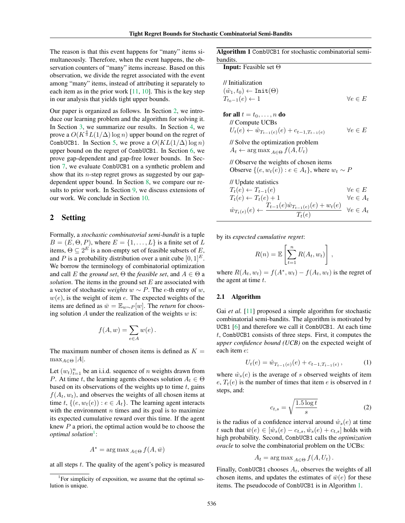The reason is that this event happens for "many" items simultaneously. Therefore, when the event happens, the observation counters of "many" items increase. Based on this observation, we divide the regret associated with the event among "many" items, instead of attributing it separately to each item as in the prior work [11, 10]. This is the key step in our analysis that yields tight upper bounds.

Our paper is organized as follows. In Section 2, we introduce our learning problem and the algorithm for solving it. In Section 3, we summarize our results. In Section 4, we prove a  $O(K^{\frac{4}{3}}L(1/\Delta)\log n)$  upper bound on the regret of CombUCB1. In Section 5, we prove a  $O(KL(1/\Delta) \log n)$ upper bound on the regret of CombUCB1. In Section 6, we prove gap-dependent and gap-free lower bounds. In Section 7, we evaluate CombUCB1 on a synthetic problem and show that its *n*-step regret grows as suggested by our gapdependent upper bound. In Section 8, we compare our results to prior work. In Section 9, we discuss extensions of our work. We conclude in Section 10.

### 2 Setting

Formally, a *stochastic combinatorial semi-bandit* is a tuple  $B = (E, \Theta, P)$ , where  $E = \{1, \ldots, L\}$  is a finite set of *L* items,  $\Theta \subseteq 2^E$  is a non-empty set of feasible subsets of *E*, and *P* is a probability distribution over a unit cube  $[0, 1]^E$ . We borrow the terminology of combinatorial optimization and call *E* the *ground set*,  $\Theta$  the *feasible set*, and  $A \in \Theta$  a *solution*. The items in the ground set *E* are associated with a vector of stochastic *weights*  $w \sim P$ . The *e*-th entry of *w*,  $w(e)$ , is the weight of item  $e$ . The expected weights of the items are defined as  $\bar{w} = \mathbb{E}_{w \sim P}[w]$ . The *return* for choosing solution *A* under the realization of the weights *w* is:

$$
f(A, w) = \sum_{e \in A} w(e).
$$

The maximum number of chosen items is defined as  $K =$  $\max_{A \in \Theta} |A|$ .

Let  $(w_t)_{t=1}^n$  be an i.i.d. sequence of *n* weights drawn from *P*. At time *t*, the learning agents chooses solution  $A_t \in \Theta$ based on its observations of the weights up to time *t*, gains  $f(A_t, w_t)$ , and observes the weights of all chosen items at time *t*,  $\{(e, w_t(e)) : e \in A_t\}$ . The learning agent interacts with the environment  $n$  times and its goal is to maximize its expected cumulative reward over this time. If the agent knew *P* a priori, the optimal action would be to choose the *optimal solution*1:

$$
A^* = \arg \max_{A \in \Theta} f(A, \bar{w})
$$

at all steps *t*. The quality of the agent's policy is measured

Algorithm 1 CombUCB1 for stochastic combinatorial semibandits.

**Input:** Feasible set  $\Theta$ 

$$
\begin{array}{ll}\n\text{J/Initialization} \\
(\hat{w}_1, t_0) \leftarrow \text{Init}(\Theta) \\
T_{t_0 - 1}(e) \leftarrow 1\n\end{array}\n\quad \forall e \in E
$$

**for all** 
$$
t = t_0, ..., n
$$
 **do**  
\n// Compute UCBs  
\n $U_t(e) \leftarrow \hat{w}_{T_{t-1}(e)}(e) + c_{t-1,T_{t-1}(e)}$   $\forall e \in E$   
\n// Solve the optimization problem  
\n $A_t \leftarrow \arg \max_{A \in \Theta} f(A, U_t)$ 

// Observe the weights of chosen items

Observe  $\{(e, w_t(e)) : e \in A_t\}$ , where  $w_t \sim P$ 

// Update statistics *Tt*(*e*) *T<sup>t</sup>*<sup>1</sup>(*e*) 8*e* 2 *E Tt*(*e*) *Tt*(*e*)+1 8*e* 2 *A<sup>t</sup> w*ˆ*<sup>T</sup>t*(*e*)(*e*) *T<sup>t</sup>*<sup>1</sup>(*e*) ˆ*w<sup>T</sup>t*1(*e*)(*e*) + *wt*(*e*) *<sup>T</sup>t*(*e*) <sup>8</sup>*<sup>e</sup>* <sup>2</sup> *<sup>A</sup><sup>t</sup>*

by its *expected cumulative regret*:

$$
R(n) = \mathbb{E}\left[\sum_{t=1}^{n} R(A_t, w_t)\right],
$$

where  $R(A_t, w_t) = f(A^*, w_t) - f(A_t, w_t)$  is the regret of the agent at time *t*.

#### 2.1 Algorithm

Gai *et al.* [11] proposed a simple algorithm for stochastic combinatorial semi-bandits. The algorithm is motivated by UCB1 [6] and therefore we call it CombUCB1. At each time *t*, CombUCB1 consists of three steps. First, it computes the *upper confidence bound (UCB)* on the expected weight of each item *e*:

$$
U_t(e) = \hat{w}_{T_{t-1}(e)}(e) + c_{t-1,T_{t-1}(e)}, \qquad (1)
$$

where  $\hat{w}_s(e)$  is the average of *s* observed weights of item  $e, T_t(e)$  is the number of times that item *e* is observed in *t* steps, and:

$$
c_{t,s} = \sqrt{\frac{1.5 \log t}{s}}\tag{2}
$$

is the radius of a confidence interval around  $\hat{w}_s(e)$  at time *t* such that  $\bar{w}(e) \in [\hat{w}_s(e) - c_{t,s}, \hat{w}_s(e) + c_{t,s}]$  holds with high probability. Second, CombUCB1 calls the *optimization oracle* to solve the combinatorial problem on the UCBs:

$$
A_t = \arg \max_{A \in \Theta} f(A, U_t).
$$

Finally, CombUCB1 chooses *At*, observes the weights of all chosen items, and updates the estimates of  $\bar{w}(e)$  for these items. The pseudocode of CombUCB1 is in Algorithm 1.

<sup>&</sup>lt;sup>1</sup>For simplicity of exposition, we assume that the optimal solution is unique.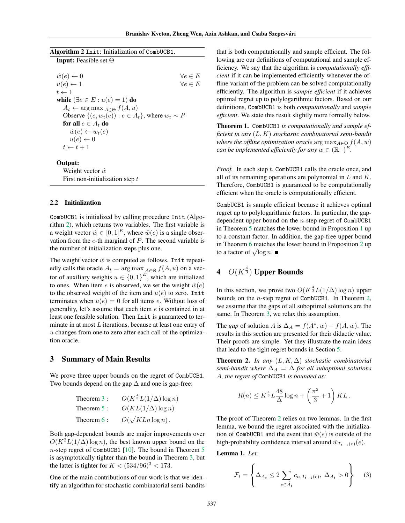| Algorithm 2 Init: Initialization of CombUCB1.              |                   |
|------------------------------------------------------------|-------------------|
| <b>Input:</b> Feasible set $\Theta$                        |                   |
| $\hat{w}(e) \leftarrow 0$                                  | $\forall e \in E$ |
| $u(e) \leftarrow 1$                                        | $\forall e \in E$ |
| $t \leftarrow 1$                                           |                   |
| while $(\exists e \in E : u(e) = 1)$ do                    |                   |
| $A_t \leftarrow \arg \max_{A \in \Theta} f(A, u)$          |                   |
| Observe $\{(e, w_t(e)) : e \in A_t\}$ , where $w_t \sim P$ |                   |
| for all $e \in A_t$ do                                     |                   |
| $\hat{w}(e) \leftarrow w_t(e)$                             |                   |
| $u(e) \leftarrow 0$                                        |                   |
| $t \leftarrow t + 1$                                       |                   |
| Output:                                                    |                   |

Weight vector  $\hat{w}$ First non-initialization step *t*

#### 2.2 Initialization

CombUCB1 is initialized by calling procedure Init (Algorithm 2), which returns two variables. The first variable is a weight vector  $\hat{w} \in [0, 1]^E$ , where  $\hat{w}(e)$  is a single observation from the *e*-th marginal of *P*. The second variable is the number of initialization steps plus one.

The weight vector  $\hat{w}$  is computed as follows. Init repeatedly calls the oracle  $A_t = \arg \max_{A \in \Theta} f(A, u)$  on a vector of auxiliary weights  $u \in \{0,1\}^E$ , which are initialized to ones. When item *e* is observed, we set the weight  $\hat{w}(e)$ to the observed weight of the item and  $u(e)$  to zero. Init terminates when  $u(e) = 0$  for all items *e*. Without loss of generality, let's assume that each item *e* is contained in at least one feasible solution. Then Init is guaranteed to terminate in at most *L* iterations, because at least one entry of *u* changes from one to zero after each call of the optimization oracle.

### 3 Summary of Main Results

We prove three upper bounds on the regret of CombUCB1. Two bounds depend on the gap  $\Delta$  and one is gap-free:

Theorem 3: 
$$
O(K^{\frac{4}{3}}L(1/\Delta) \log n)
$$
  
Theorem 5:  $O(KL(1/\Delta) \log n)$   
Theorem 6:  $O(\sqrt{KLn \log n})$ .

Both gap-dependent bounds are major improvements over  $O(K^2L(1/\Delta) \log n)$ , the best known upper bound on the *n*-step regret of CombUCB1 [10]. The bound in Theorem 5 is asymptotically tighter than the bound in Theorem 3, but the latter is tighter for  $K < (534/96)^3 < 173$ .

One of the main contributions of our work is that we identify an algorithm for stochastic combinatorial semi-bandits

that is both computationally and sample efficient. The following are our definitions of computational and sample efficiency. We say that the algorithm is *computationally efficient* if it can be implemented efficiently whenever the offline variant of the problem can be solved computationally efficiently. The algorithm is *sample efficient* if it achieves optimal regret up to polylogarithmic factors. Based on our definitions, CombUCB1 is both *computationally* and *sample efficient*. We state this result slightly more formally below.

Theorem 1. CombUCB1 *is computationally and sample efficient in any* (*L, K*) *stochastic combinatorial semi-bandit where the offline optimization oracle* arg  $\max_{A \in \Theta} f(A, w)$ *can be implemented efficiently for any*  $w \in (\mathbb{R}^+)^E$ .

*Proof.* In each step *t*, CombUCB1 calls the oracle once, and all of its remaining operations are polynomial in *L* and *K*. Therefore, CombUCB1 is guaranteed to be computationally efficient when the oracle is computationally efficient.

CombUCB1 is sample efficient because it achieves optimal regret up to polylogarithmic factors. In particular, the gapdependent upper bound on the *n*-step regret of CombUCB1 in Theorem 5 matches the lower bound in Proposition 1 up to a constant factor. In addition, the gap-free upper bound in Theorem 6 matches the lower bound in Proposition 2 up to a factor of  $\sqrt{\log n}$ .

# 4 *O*(*K* <sup>4</sup> <sup>3</sup> ) Upper Bounds

In this section, we prove two  $O(K^{\frac{4}{3}}L(1/\Delta) \log n)$  upper bounds on the *n*-step regret of CombUCB1. In Theorem 2, we assume that the gaps of all suboptimal solutions are the same. In Theorem 3, we relax this assumption.

The *gap* of solution *A* is  $\Delta_A = f(A^*, \bar{w}) - f(A, \bar{w})$ . The results in this section are presented for their didactic value. Their proofs are simple. Yet they illustrate the main ideas that lead to the tight regret bounds in Section 5.

**Theorem 2.** *In any*  $(L, K, \Delta)$  *stochastic combinatorial semi-bandit where*  $\Delta_A = \Delta$  *for all suboptimal solutions A, the regret of* CombUCB1 *is bounded as:*

$$
R(n) \le K^{\frac{4}{3}} L \frac{48}{\Delta} \log n + \left(\frac{\pi^2}{3} + 1\right) KL.
$$

The proof of Theorem 2 relies on two lemmas. In the first lemma, we bound the regret associated with the initialization of CombUCB1 and the event that  $\bar{w}(e)$  is outside of the high-probability confidence interval around  $\hat{w}_{T_{t-1}(e)}(e)$ .

Lemma 1. *Let:*

$$
\mathcal{F}_t = \left\{ \Delta_{A_t} \le 2 \sum_{e \in \tilde{A}_t} c_{n, T_{t-1}(e)}, \ \Delta_{A_t} > 0 \right\} \tag{3}
$$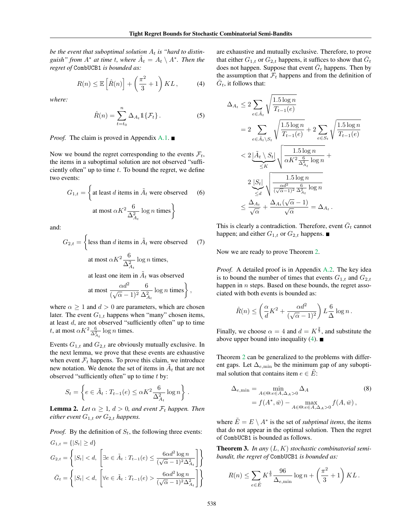be the event that suboptimal solution  $A_t$  is "hard to distin*guish*" *from*  $A^*$  *at time t, where*  $A_t = A_t \setminus A^*$ *. Then the regret of* CombUCB1 *is bounded as:*

$$
R(n) \le \mathbb{E}\left[\hat{R}(n)\right] + \left(\frac{\pi^2}{3} + 1\right)KL\,,\tag{4}
$$

*where:*

$$
\hat{R}(n) = \sum_{t=t_0}^{n} \Delta_{A_t} \mathbb{1} \{ \mathcal{F}_t \}.
$$
 (5)

#### *Proof.* The claim is proved in Appendix A.1. ■

Now we bound the regret corresponding to the events  $\mathcal{F}_t$ , the items in a suboptimal solution are not observed "sufficiently often" up to time *t*. To bound the regret, we define two events:

$$
G_{1,t} = \left\{ \text{at least } d \text{ items in } \tilde{A}_t \text{ were observed} \qquad (6)
$$
  
at most  $\alpha K^2 \frac{6}{\Delta_{A_t}^2} \log n \text{ times} \right\}$ 

and:

$$
G_{2,t} = \left\{ \text{less than } d \text{ items in } \tilde{A}_t \text{ were observed} \qquad (7) \right\}
$$
  
at most  $\alpha K^2 \frac{6}{\Delta_{A_t}^2} \log n$  times,  
at least one item in  $\tilde{A}_t$  was observed  
at most  $\frac{\alpha d^2}{(\sqrt{\alpha} - 1)^2} \frac{6}{\Delta_{A_t}^2} \log n$  times $\right\}$ ,

where  $\alpha \geq 1$  and  $d > 0$  are parameters, which are chosen later. The event  $G_{1,t}$  happens when "many" chosen items, at least *d*, are not observed "sufficiently often" up to time *t*, at most  $\alpha K^2 \frac{6}{\Delta_{A_t}^2} \log n$  times.

Events  $G_{1,t}$  and  $G_{2,t}$  are obviously mutually exclusive. In the next lemma, we prove that these events are exhaustive when event  $\mathcal{F}_t$  happens. To prove this claim, we introduce new notation. We denote the set of items in  $A_t$  that are not observed "sufficiently often" up to time *t* by:

$$
S_t = \left\{ e \in \tilde{A}_t : T_{t-1}(e) \le \alpha K^2 \frac{6}{\Delta_{A_t}^2} \log n \right\} .
$$

**Lemma 2.** Let  $\alpha \geq 1$ ,  $d > 0$ , and event  $\mathcal{F}_t$  happen. Then *either event*  $G_{1,t}$  *or*  $G_{2,t}$  *happens.* 

*Proof.* By the definition of  $S_t$ , the following three events:  $G_{1,t} = \{|S_t| > d\}$  $G_{2,t} =$  $\left\{|S_t| < d, \ \left[\exists e \in \tilde{A}_t : T_{t-1}(e) \leq \frac{6\alpha d^2\log n}{(\sqrt{\alpha}-1)^2\Delta_{A_t}^2}\right.$  $\overline{)}$  $\bar{G}_t =$  $\left\{ |S_t| < d, \left[ \forall e \in \tilde{A}_t : T_{t-1}(e) > \frac{6\alpha d^2 \log n}{(\sqrt{\alpha} - 1)^2 \Delta} \right] \right\}$  $\sqrt{(\sqrt{\alpha}-1)^2 \Delta_{A_t}^2}$  $\overline{)}$  are exhaustive and mutually exclusive. Therefore, to prove that either  $G_{1,t}$  or  $G_{2,t}$  happens, it suffices to show that  $\overline{G}_t$ does not happen. Suppose that event  $\overline{G}_t$  happens. Then by the assumption that  $\mathcal{F}_t$  happens and from the definition of  $\overline{G}_t$ , it follows that:

$$
\Delta_{A_t} \le 2 \sum_{e \in \tilde{A}_t} \sqrt{\frac{1.5 \log n}{T_{t-1}(e)}}
$$
\n
$$
= 2 \sum_{e \in \tilde{A}_t \setminus S_t} \sqrt{\frac{1.5 \log n}{T_{t-1}(e)}} + 2 \sum_{e \in S_t} \sqrt{\frac{1.5 \log n}{T_{t-1}(e)}}
$$
\n
$$
< 2 \underbrace{|\tilde{A}_t \setminus S_t|}_{\le K} \sqrt{\frac{1.5 \log n}{\alpha K^2 \frac{6}{\Delta_{A_t}^2} \log n}} + \frac{2 \underbrace{|S_t|}_{\le d} \sqrt{\frac{1.5 \log n}{(\sqrt{\alpha} - 1)^2 \frac{6}{\Delta_{A_t}^2} \log n}}}_{\le \frac{\Delta_{A_t}}{\sqrt{\alpha}} + \frac{\Delta_{A_t}(\sqrt{\alpha} - 1)}{\sqrt{\alpha}} = \Delta_{A_t}.
$$

This is clearly a contradiction. Therefore, event  $G_t$  cannot happen; and either  $G_{1,t}$  or  $G_{2,t}$  happens.

Now we are ready to prove Theorem 2.

*Proof.* A detailed proof is in Appendix A.2. The key idea is to bound the number of times that events  $G_{1,t}$  and  $G_{2,t}$ happen in *n* steps. Based on these bounds, the regret associated with both events is bounded as:

$$
\hat{R}(n) \le \left(\frac{\alpha}{d}K^2 + \frac{\alpha d^2}{(\sqrt{\alpha} - 1)^2}\right) L \frac{6}{\Delta} \log n.
$$

Finally, we choose  $\alpha = 4$  and  $d = K^{\frac{2}{3}}$ , and substitute the above upper bound into inequality (4).  $\blacksquare$ 

Theorem 2 can be generalized to the problems with different gaps. Let  $\Delta_{e,\text{min}}$  be the minimum gap of any suboptimal solution that contains item  $e \in \tilde{E}$ :

$$
\Delta_{e,\min} = \min_{A \in \Theta: e \in A, \Delta_A > 0} \Delta_A
$$
\n
$$
= f(A^*, \bar{w}) - \max_{A \in \Theta: e \in A, \Delta_A > 0} f(A, \bar{w}),
$$
\n(8)

where  $\tilde{E} = E \setminus A^*$  is the set of *subptimal items*, the items that do not appear in the optimal solution. Then the regret of CombUCB1 is bounded as follows.

Theorem 3. *In any* (*L, K*) *stochastic combinatorial semibandit, the regret of* CombUCB1 *is bounded as:*

$$
R(n) \le \sum_{e \in \tilde{E}} K^{\frac{4}{3}} \frac{96}{\Delta_{e,\min}} \log n + \left(\frac{\pi^2}{3} + 1\right) KL.
$$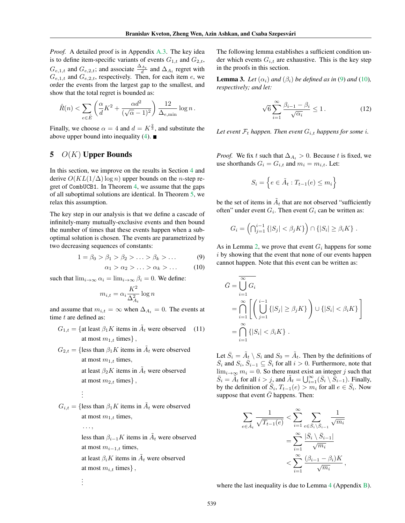*Proof.* A detailed proof is in Appendix A.3. The key idea is to define item-specific variants of events  $G_{1,t}$  and  $G_{2,t}$ ,  $G_{e,1,t}$  and  $G_{e,2,t}$ ; and associate  $\frac{\Delta_{A_t}}{d}$  and  $\Delta_{A_t}$  regret with  $G_{e,1,t}$  and  $G_{e,2,t}$ , respectively. Then, for each item *e*, we order the events from the largest gap to the smallest, and show that the total regret is bounded as:

$$
\hat{R}(n) < \sum_{e \in \tilde{E}} \left( \frac{\alpha}{d} K^2 + \frac{\alpha d^2}{(\sqrt{\alpha} - 1)^2} \right) \frac{12}{\Delta_{e, \min}} \log n \,.
$$

Finally, we choose  $\alpha = 4$  and  $d = K^{\frac{2}{3}}$ , and substitute the above upper bound into inequality (4).  $\blacksquare$ 

## 5 *O*(*K*) Upper Bounds

In this section, we improve on the results in Section 4 and derive  $O(KL(1/\Delta) \log n)$  upper bounds on the *n*-step regret of CombUCB1. In Theorem 4, we assume that the gaps of all suboptimal solutions are identical. In Theorem 5, we relax this assumption.

The key step in our analysis is that we define a cascade of infinitely-many mutually-exclusive events and then bound the number of times that these events happen when a suboptimal solution is chosen. The events are parametrized by two decreasing sequences of constants:

$$
1 = \beta_0 > \beta_1 > \beta_2 > \ldots > \beta_k > \ldots
$$
 (9)

$$
\alpha_1 > \alpha_2 > \ldots > \alpha_k > \ldots \qquad (10)
$$

such that  $\lim_{i \to \infty} \alpha_i = \lim_{i \to \infty} \beta_i = 0$ . We define:

$$
m_{i,t} = \alpha_i \frac{K^2}{\Delta_{A_t}^2} \log n
$$

and assume that  $m_{i,t} = \infty$  when  $\Delta_{A_t} = 0$ . The events at time *t* are defined as:

$$
G_{1,t} = \{ \text{at least } \beta_1 K \text{ items in } \tilde{A}_t \text{ were observed} \qquad (11) \text{ at most } m_{1,t} \text{ times} \},
$$

 $G_{2,t} = \{\text{less than } \beta_1 K \text{ items in } \tilde{A}_t \text{ were observed}\}$ at most  $m_{1,t}$  times, at least  $\beta_2 K$  items in  $\tilde{A}_t$  were observed at most  $m_{2,t}$  times<sup>}</sup>,

$$
G_{i,t} = \{ \text{less than } \beta_1 K \text{ items in } \tilde{A}_t \text{ were observed} \}
$$
  
at most  $m_{1,t}$  times,

. . .

. . .

*...,* less than  $\beta_{i-1}K$  items in  $\tilde{A}_t$  were observed at most  $m_{i-1,t}$  times, at least  $\beta_i K$  items in  $A_t$  were observed at most  $m_{i,t}$  times<sup>}</sup>,

The following lemma establishes a sufficient condition under which events  $G_{i,t}$  are exhaustive. This is the key step in the proofs in this section.

**Lemma 3.** Let  $(\alpha_i)$  and  $(\beta_i)$  be defined as in (9) and (10), *respectively; and let:*

$$
\sqrt{6} \sum_{i=1}^{\infty} \frac{\beta_{i-1} - \beta_i}{\sqrt{\alpha_i}} \le 1. \tag{12}
$$

Let event  $\mathcal{F}_t$  *happen. Then event*  $G_{i,t}$  *happens for some i.* 

*Proof.* We fix *t* such that  $\Delta_{A_t} > 0$ . Because *t* is fixed, we use shorthands  $G_i = G_{i,t}$  and  $m_i = m_{i,t}$ . Let:

$$
S_i = \left\{ e \in \tilde{A}_t : T_{t-1}(e) \le m_i \right\}
$$

be the set of items in  $A_t$  that are not observed "sufficiently" often" under event  $G_i$ . Then event  $G_i$  can be written as:

$$
G_i = \left(\bigcap_{j=1}^{i-1} \{|S_j| < \beta_j K\} \right) \cap \{|S_i| \geq \beta_i K\} .
$$

As in Lemma 2, we prove that event *G<sup>i</sup>* happens for some *i* by showing that the event that none of our events happen cannot happen. Note that this event can be written as:

$$
\bar{G} = \bigcup_{i=1}^{\infty} G_i
$$
  
= 
$$
\bigcap_{i=1}^{\infty} \left[ \left( \bigcup_{j=1}^{i-1} \{ |S_j| \ge \beta_j K \} \right) \cup \{ |S_i| < \beta_i K \} \right]
$$
  
= 
$$
\bigcap_{i=1}^{\infty} \{ |S_i| < \beta_i K \} .
$$

Let  $\bar{S}_i = \tilde{A}_{\underline{t}} \setminus S_i$  and  $S_0 = \tilde{A}_t$ . Then by the definitions of  $\overline{S}_i$  and  $S_i$ ,  $\overline{S}_{i-1} \subseteq \overline{S}_i$  for all  $i > 0$ . Furthermore, note that  $\lim_{i \to \infty} m_i = 0$ . So there must exist an integer *j* such that  $\overline{S}_i = \overline{A}_t$  for all  $i > j$ , and  $\overline{A}_t = \bigcup_{i=1}^{\infty} (\overline{S}_i \setminus \overline{S}_{i-1})$ . Finally, by the definition of  $\bar{S}_i$ ,  $T_{t-1}(e) > m_i$  for all  $e \in \bar{S}_i$ . Now suppose that event  $\bar{G}$  happens. Then:

$$
\sum_{e \in \tilde{A}_t} \frac{1}{\sqrt{T_{t-1}(e)}} < \sum_{i=1}^{\infty} \sum_{e \in \bar{S}_i \setminus \bar{S}_{i-1}} \frac{1}{\sqrt{m_i}} \\
= \sum_{i=1}^{\infty} \frac{|\bar{S}_i \setminus \bar{S}_{i-1}|}{\sqrt{m_i}} \\
\ltq \sum_{i=1}^{\infty} \frac{(\beta_{i-1} - \beta_i)K}{\sqrt{m_i}},
$$

where the last inequality is due to Lemma 4 (Appendix B).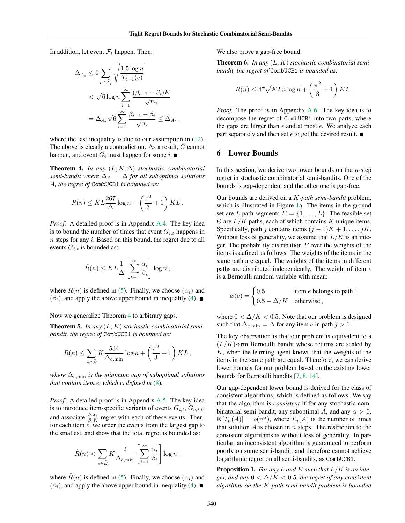In addition, let event  $\mathcal{F}_t$  happen. Then:

$$
\Delta_{A_t} \leq 2 \sum_{e \in \tilde{A}_t} \sqrt{\frac{1.5 \log n}{T_{t-1}(e)}}
$$
  
< 
$$
< \sqrt{6 \log n} \sum_{i=1}^{\infty} \frac{(\beta_{i-1} - \beta_i) K}{\sqrt{m_i}}
$$
  

$$
= \Delta_{A_t} \sqrt{6} \sum_{i=1}^{\infty} \frac{\beta_{i-1} - \beta_i}{\sqrt{\alpha_i}} \leq \Delta_{A_t},
$$

where the last inequality is due to our assumption in  $(12)$ . The above is clearly a contradiction. As a result,  $\overline{G}$  cannot happen, and event  $G_i$  must happen for some *i*.

**Theorem 4.** *In any*  $(L, K, \Delta)$  *stochastic combinatorial semi-bandit where*  $\Delta_A = \Delta$  *for all suboptimal solutions A, the regret of* CombUCB1 *is bounded as:*

$$
R(n) \le KL \frac{267}{\Delta} \log n + \left(\frac{\pi^2}{3} + 1\right) KL.
$$

*Proof.* A detailed proof is in Appendix A.4. The key idea is to bound the number of times that event  $G_{i,t}$  happens in *n* steps for any *i*. Based on this bound, the regret due to all events  $G_{i,t}$  is bounded as:

$$
\hat{R}(n) \leq KL \frac{1}{\Delta} \left[ \sum_{i=1}^{\infty} \frac{\alpha_i}{\beta_i} \right] \log n,
$$

where  $\hat{R}(n)$  is defined in (5). Finally, we choose  $(\alpha_i)$  and  $(\beta_i)$ , and apply the above upper bound in inequality (4).

Now we generalize Theorem 4 to arbitrary gaps.

Theorem 5. *In any* (*L, K*) *stochastic combinatorial semibandit, the regret of* CombUCB1 *is bounded as:*

$$
R(n) \le \sum_{e \in \tilde{E}} K \frac{534}{\Delta_{e,\min}} \log n + \left(\frac{\pi^2}{3} + 1\right) KL,
$$

*where*  $\Delta_{e,\text{min}}$  *is the minimum gap of suboptimal solutions that contain item e, which is defined in* (8)*.*

*Proof.* A detailed proof is in Appendix A.5. The key idea is to introduce item-specific variants of events  $G_{i,t}$ ,  $G_{e,i,t}$ , and associate  $\frac{\Delta_{A_t}}{\beta_i K}$  regret with each of these events. Then, for each item *e*, we order the events from the largest gap to the smallest, and show that the total regret is bounded as:

$$
\hat{R}(n) < \sum_{e \in \tilde{E}} K \frac{2}{\Delta_{e,\min}} \left[ \sum_{i=1}^{\infty} \frac{\alpha_i}{\beta_i} \right] \log n \,,
$$

where  $\hat{R}(n)$  is defined in (5). Finally, we choose  $(\alpha_i)$  and  $(\beta_i)$ , and apply the above upper bound in inequality (4).

We also prove a gap-free bound.

Theorem 6. *In any* (*L, K*) *stochastic combinatorial semibandit, the regret of* CombUCB1 *is bounded as:*

$$
R(n) \le 47\sqrt{KLn\log n} + \left(\frac{\pi^2}{3} + 1\right)KL.
$$

*Proof.* The proof is in Appendix A.6. The key idea is to decompose the regret of CombUCB1 into two parts, where the gaps are larger than  $\epsilon$  and at most  $\epsilon$ . We analyze each part separately and then set  $\epsilon$  to get the desired result.  $\blacksquare$ 

#### 6 Lower Bounds

In this section, we derive two lower bounds on the *n*-step regret in stochastic combinatorial semi-bandits. One of the bounds is gap-dependent and the other one is gap-free.

Our bounds are derived on a *K-path semi-bandit* problem, which is illustrated in Figure 1a. The items in the ground set are *L* path segments  $E = \{1, \ldots, L\}$ . The feasible set  $\Theta$  are  $L/K$  paths, each of which contains *K* unique items. Specifically, path *j* contains items  $(j - 1)K + 1, \ldots, jK$ . Without loss of generality, we assume that  $L/K$  is an integer. The probability distribution *P* over the weights of the items is defined as follows. The weights of the items in the same path are equal. The weights of the items in different paths are distributed independently. The weight of item *e* is a Bernoulli random variable with mean:

$$
\bar{w}(e) = \begin{cases} 0.5 & \text{item } e \text{ belongs to path 1} \\ 0.5 - \Delta/K & \text{otherwise} \end{cases}
$$

where  $0 < \Delta/K < 0.5$ . Note that our problem is designed such that  $\Delta_{e,\min} = \Delta$  for any item *e* in path  $j > 1$ .

The key observation is that our problem is equivalent to a  $(L/K)$ -arm Bernoulli bandit whose returns are scaled by *K*, when the learning agent knows that the weights of the items in the same path are equal. Therefore, we can derive lower bounds for our problem based on the existing lower bounds for Bernoulli bandits [7, 8, 14].

Our gap-dependent lower bound is derived for the class of consistent algorithms, which is defined as follows. We say that the algorithm is *consistent* if for any stochastic combinatorial semi-bandit, any suboptimal *A*, and any  $\alpha > 0$ ,  $\mathbb{E}[T_n(A)] = o(n^{\alpha})$ , where  $T_n(A)$  is the number of times that solution *A* is chosen in *n* steps. The restriction to the consistent algorithms is without loss of generality. In particular, an inconsistent algorithm is guaranteed to perform poorly on some semi-bandit, and therefore cannot achieve logarithmic regret on all semi-bandits, as CombUCB1.

Proposition 1. *For any L and K such that L/K is an integer, and any*  $0 < \Delta/K < 0.5$ *, the regret of any consistent algorithm on the K-path semi-bandit problem is bounded*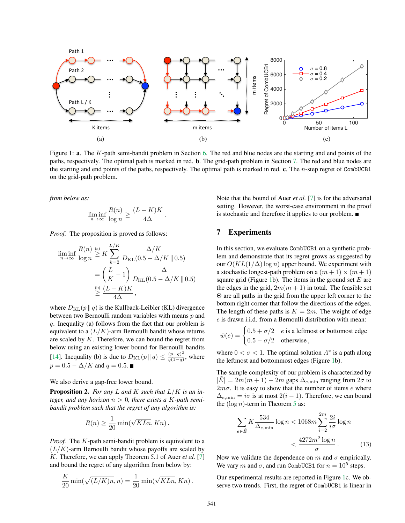

Figure 1: a. The *K*-path semi-bandit problem in Section 6. The red and blue nodes are the starting and end points of the paths, respectively. The optimal path is marked in red. b. The grid-path problem in Section 7. The red and blue nodes are the starting and end points of the paths, respectively. The optimal path is marked in red. c. The *n*-step regret of CombUCB1 on the grid-path problem.

*from below as:*

$$
\liminf_{n \to \infty} \frac{R(n)}{\log n} \ge \frac{(L-K)K}{4\Delta}.
$$

*Proof.* The proposition is proved as follows:

$$
\liminf_{n \to \infty} \frac{R(n)}{\log n} \stackrel{\text{(a)}}{\geq} K \sum_{k=2}^{L/K} \frac{\Delta/K}{D_{\text{KL}}(0.5 - \Delta/K \parallel 0.5)}
$$

$$
= \left(\frac{L}{K} - 1\right) \frac{\Delta}{D_{\text{KL}}(0.5 - \Delta/K \parallel 0.5)}
$$

$$
\stackrel{\text{(b)}}{\geq} \frac{(L - K)K}{4\Delta},
$$

where  $D_{\text{KL}}(p || q)$  is the Kullback-Leibler (KL) divergence between two Bernoulli random variables with means *p* and *q*. Inequality (a) follows from the fact that our problem is equivalent to a  $(L/K)$ -arm Bernoulli bandit whose returns are scaled by *K*. Therefore, we can bound the regret from below using an existing lower bound for Bernoulli bandits [14]. Inequality (b) is due to  $D_{KL}(p || q) \leq \frac{(p-q)^2}{q(1-q)}$ , where  $p = 0.5 - \Delta/K$  and  $q = 0.5$ .

#### We also derive a gap-free lower bound.

Proposition 2. *For any L and K such that L/K is an integer, and any horizon*  $n > 0$ *, there exists a K-path semibandit problem such that the regret of any algorithm is:*

$$
R(n) \ge \frac{1}{20} \min(\sqrt{KLn}, Kn).
$$

*Proof.* The *K*-path semi-bandit problem is equivalent to a  $(L/K)$ -arm Bernoulli bandit whose payoffs are scaled by *K*. Therefore, we can apply Theorem 5.1 of Auer *et al.* [7] and bound the regret of any algorithm from below by:

$$
\frac{K}{20}\min(\sqrt{(L/K)n},n) = \frac{1}{20}\min(\sqrt{KLn}, Kn).
$$

Note that the bound of Auer *et al.* [7] is for the adversarial setting. However, the worst-case environment in the proof is stochastic and therefore it applies to our problem.

## 7 Experiments

In this section, we evaluate CombUCB1 on a synthetic problem and demonstrate that its regret grows as suggested by our  $O(KL(1/\Delta) \log n)$  upper bound. We experiment with a stochastic longest-path problem on a  $(m + 1) \times (m + 1)$ square grid (Figure 1b). The items in the ground set *E* are the edges in the grid,  $2m(m + 1)$  in total. The feasible set  $\Theta$  are all paths in the grid from the upper left corner to the bottom right corner that follow the directions of the edges. The length of these paths is  $K = 2m$ . The weight of edge *e* is drawn i.i.d. from a Bernoulli distribution with mean:

$$
\bar{w}(e) = \begin{cases} 0.5 + \sigma/2 & e \text{ is a leftmost or bottomost edge} \\ 0.5 - \sigma/2 & \text{otherwise} \end{cases}
$$

where  $0 < \sigma < 1$ . The optimal solution  $A^*$  is a path along the leftmost and bottommost edges (Figure 1b).

The sample complexity of our problem is characterized by  $|E| = 2m(m + 1) - 2m$  gaps  $\Delta_{e, \text{min}}$  ranging from  $2\sigma$  to  $2m\sigma$ . It is easy to show that the number of items  $e$  where  $\Delta_{e,\text{min}} = i\sigma$  is at most  $2(i - 1)$ . Therefore, we can bound the  $(\log n)$ -term in Theorem 5 as:

$$
\sum_{e \in \bar{E}} K \frac{534}{\Delta_{e,\min}} \log n < 1068m \sum_{i=2}^{2m} \frac{2i}{i\sigma} \log n
$$
\n
$$
< \frac{4272m^2 \log n}{\sigma} \,. \tag{13}
$$

Now we validate the dependence on  $m$  and  $\sigma$  empirically. We vary *m* and  $\sigma$ , and run CombUCB1 for  $n = 10^5$  steps.

Our experimental results are reported in Figure 1c. We observe two trends. First, the regret of CombUCB1 is linear in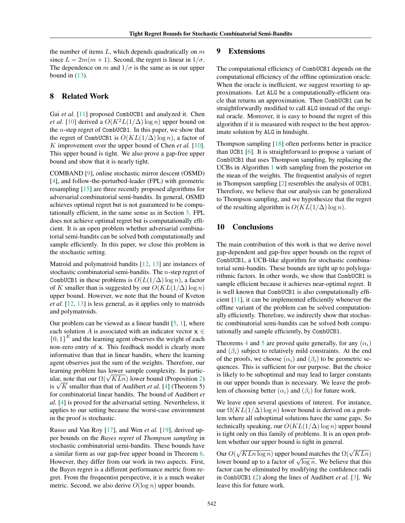the number of items *L*, which depends quadratically on *m* since  $L = 2m(m + 1)$ . Second, the regret is linear in  $1/\sigma$ . The dependence on *m* and  $1/\sigma$  is the same as in our upper bound in  $(13)$ .

## 8 Related Work

Gai *et al.* [11] proposed CombUCB1 and analyzed it. Chen *et al.* [10] derived a  $O(K^2L(1/\Delta) \log n)$  upper bound on the *n*-step regret of CombUCB1. In this paper, we show that the regret of CombUCB1 is  $O(KL(1/\Delta) \log n)$ , a factor of *K* improvement over the upper bound of Chen *et al.* [10]. This upper bound is tight. We also prove a gap-free upper bound and show that it is nearly tight.

COMBAND [9], online stochastic mirror descent (OSMD) [4], and follow-the-perturbed-leader (FPL) with geometric resampling [15] are three recently proposed algorithms for adversarial combinatorial semi-bandits. In general, OSMD achieves optimal regret but is not guaranteed to be computationally efficient, in the same sense as in Section 3. FPL does not achieve optimal regret but is computationally efficient. It is an open problem whether adversarial combinatorial semi-bandits can be solved both computationally and sample efficiently. In this paper, we close this problem in the stochastic setting.

Matroid and polymatroid bandits [12, 13] are instances of stochastic combinatorial semi-bandits. The *n*-step regret of CombUCB1 in these problems is  $O(L(1/\Delta) \log n)$ , a factor of *K* smaller than is suggested by our  $O(KL(1/\Delta) \log n)$ upper bound. However, we note that the bound of Kveton *et al.* [12, 13] is less general, as it applies only to matroids and polymatroids.

Our problem can be viewed as a linear bandit  $[5, 1]$ , where each solution *A* is associated with an indicator vector  $x \in$  $\{0, 1\}^E$  and the learning agent observes the weight of each non-zero entry of x. This feedback model is clearly more informative than that in linear bandits, where the learning agent observes just the sum of the weights. Therefore, our learning problem has lower sample complexity. In particbearing problem has lower sample completely. In partie ular, note that our  $\Omega(\sqrt{KLn})$  lower bound (Proposition 2) is  $\sqrt{K}$  smaller than that of Audibert *et al.* [4] (Theorem 5) for combinatorial linear bandits. The bound of Audibert *et al.* [4] is proved for the adversarial setting. Nevertheless, it applies to our setting because the worst-case environment in the proof is stochastic.

Russo and Van Roy [17], and Wen *et al.* [19], derived upper bounds on the *Bayes regret* of *Thompson sampling* in stochastic combinatorial semi-bandits. These bounds have a similar form as our gap-free upper bound in Theorem 6. However, they differ from our work in two aspects. First, the Bayes regret is a different performance metric from regret. From the frequentist perspective, it is a much weaker metric. Second, we also derive *O*(log *n*) upper bounds.

## 9 Extensions

The computational efficiency of CombUCB1 depends on the computational efficiency of the offline optimization oracle. When the oracle is inefficient, we suggest resorting to approximations. Let ALG be a computationally-efficient oracle that returns an approximation. Then CombUCB1 can be straightforwardly modified to call ALG instead of the original oracle. Moreover, it is easy to bound the regret of this algorithm if it is measured with respect to the best approximate solution by ALG in hindsight.

Thompson sampling [18] often performs better in practice than UCB1 [6]. It is straightforward to propose a variant of CombUCB1 that uses Thompson sampling, by replacing the UCBs in Algorithm 1 with sampling from the posterior on the mean of the weights. The frequentist analysis of regret in Thompson sampling [2] resembles the analysis of UCB1. Therefore, we believe that our analysis can be generalized to Thompson sampling, and we hypothesize that the regret of the resulting algorithm is  $O(KL(1/\Delta) \log n)$ .

## 10 Conclusions

The main contribution of this work is that we derive novel gap-dependent and gap-free upper bounds on the regret of CombUCB1, a UCB-like algorithm for stochastic combinatorial semi-bandits. These bounds are tight up to polylogarithmic factors. In other words, we show that CombUCB1 is sample efficient because it achieves near-optimal regret. It is well known that CombUCB1 is also computationally efficient [11], it can be implemented efficiently whenever the offline variant of the problem can be solved computationally efficiently. Therefore, we indirectly show that stochastic combinatorial semi-bandits can be solved both computationally and sample efficiently, by CombUCB1.

Theorems 4 and 5 are proved quite generally, for any  $(\alpha_i)$ and  $(\beta_i)$  subject to relatively mild constraints. At the end of the proofs, we choose  $(\alpha_i)$  and  $(\beta_i)$  to be geometric sequences. This is sufficient for our purpose. But the choice is likely to be suboptimal and may lead to larger constants in our upper bounds than is necessary. We leave the problem of choosing better  $(\alpha_i)$  and  $(\beta_i)$  for future work.

We leave open several questions of interest. For instance, our  $\Omega(KL(1/\Delta) \log n)$  lower bound is derived on a problem where all suboptimal solutions have the same gaps. So technically speaking, our  $O(KL(1/\Delta) \log n)$  upper bound is tight only on this family of problems. It is an open problem whether our upper bound is tight in general.

Our  $O(\sqrt{KLn \log n})$  upper bound matches the  $\Omega(\sqrt{KLn})$ lower bound up to a factor of  $\sqrt{\log n}$ . We believe that this factor can be eliminated by modifying the confidence radii in CombUCB1 (2) along the lines of Audibert *et al.* [3]. We leave this for future work.